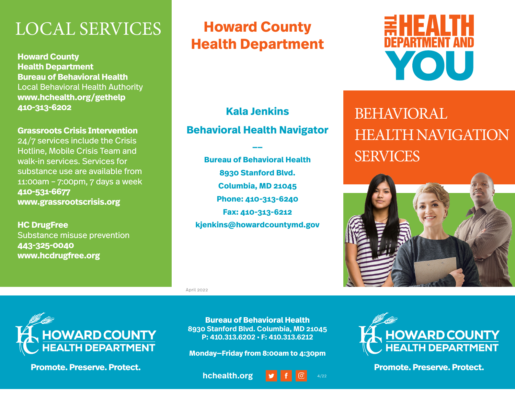### LOCAL SERVICES

**Howard County Health Department Bureau of Behavioral Health** Local Behavioral Health Authority **www.hchealth.org/gethelp 410-313-6202**

#### **Grassroots Crisis Intervention**

24/7 services include the Crisis Hotline, Mobile Crisis Team and walk-in services. Services for substance use are available from 11:00am – 7:00pm, 7 days a week **410-531-6677 www.grassrootscrisis.org**

**HC DrugFree** Substance misuse prevention **443-325-0040 www.hcdrugfree.org**

### **Howard County Health Department**



### **Kala Jenkins**

### **Behavioral Health Navigator**

**\_\_**

**Bureau of Behavioral Health 8930 Stanford Blvd. Columbia, MD 21045 Phone: 410-313-6240 Fax: 410-313-6212 kjenkins@howardcountymd.gov**

April 2022



**Promote. Preserve. Protect.** 

**Bureau of Behavioral Health 8930 Stanford Blvd. Columbia, MD 21045 P: 410.313.6202 • F: 410.313.6212**

**Monday—Friday from 8:00am to 4:30pm**





## BEHAVIORAL HEALTH NAVIGATION SERVICES





**Promote. Preserve. Protect.**